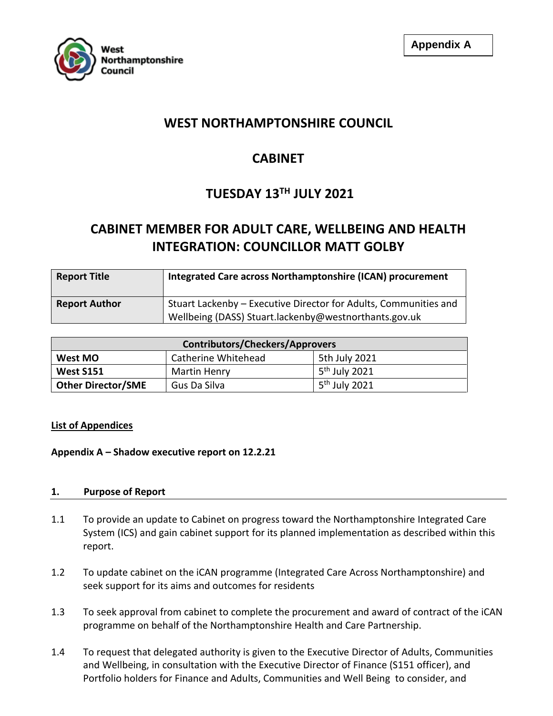

# **WEST NORTHAMPTONSHIRE COUNCIL**

# **CABINET**

# **TUESDAY 13TH JULY 2021**

# **CABINET MEMBER FOR ADULT CARE, WELLBEING AND HEALTH INTEGRATION: COUNCILLOR MATT GOLBY**

| <b>Report Title</b>  | Integrated Care across Northamptonshire (ICAN) procurement                                                                |
|----------------------|---------------------------------------------------------------------------------------------------------------------------|
| <b>Report Author</b> | Stuart Lackenby - Executive Director for Adults, Communities and<br>Wellbeing (DASS) Stuart.lackenby@westnorthants.gov.uk |

| <b>Contributors/Checkers/Approvers</b> |                     |                           |  |
|----------------------------------------|---------------------|---------------------------|--|
| West MO                                | Catherine Whitehead | 5th July 2021             |  |
| <b>West S151</b>                       | Martin Henry        | 5 <sup>th</sup> July 2021 |  |
| Other Director/SME                     | Gus Da Silva        | 5 <sup>th</sup> July 2021 |  |

# **List of Appendices**

# **Appendix A – Shadow executive report on 12.2.21**

# **1. Purpose of Report**

- 1.1 To provide an update to Cabinet on progress toward the Northamptonshire Integrated Care System (ICS) and gain cabinet support for its planned implementation as described within this report.
- 1.2 To update cabinet on the iCAN programme (Integrated Care Across Northamptonshire) and seek support for its aims and outcomes for residents
- 1.3 To seek approval from cabinet to complete the procurement and award of contract of the iCAN programme on behalf of the Northamptonshire Health and Care Partnership.
- 1.4 To request that delegated authority is given to the Executive Director of Adults, Communities and Wellbeing, in consultation with the Executive Director of Finance (S151 officer), and Portfolio holders for Finance and Adults, Communities and Well Being to consider, and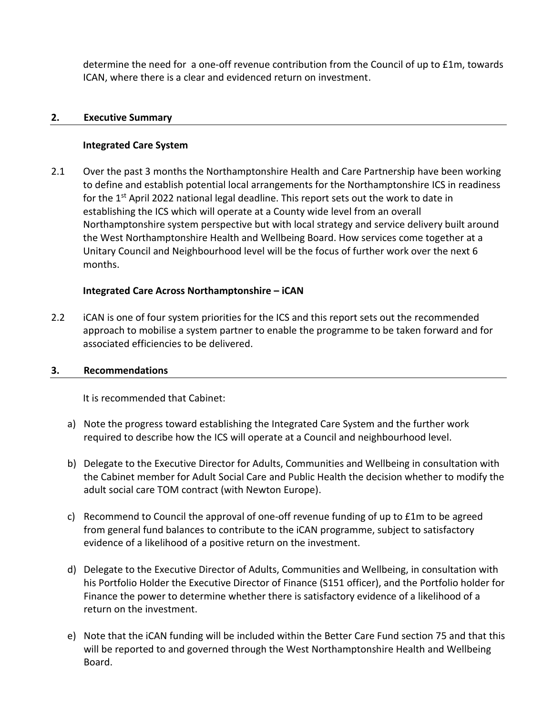determine the need for a one-off revenue contribution from the Council of up to £1m, towards ICAN, where there is a clear and evidenced return on investment.

#### **2. Executive Summary**

#### **Integrated Care System**

2.1 Over the past 3 months the Northamptonshire Health and Care Partnership have been working to define and establish potential local arrangements for the Northamptonshire ICS in readiness for the  $1<sup>st</sup>$  April 2022 national legal deadline. This report sets out the work to date in establishing the ICS which will operate at a County wide level from an overall Northamptonshire system perspective but with local strategy and service delivery built around the West Northamptonshire Health and Wellbeing Board. How services come together at a Unitary Council and Neighbourhood level will be the focus of further work over the next 6 months.

# **Integrated Care Across Northamptonshire – iCAN**

2.2 iCAN is one of four system priorities for the ICS and this report sets out the recommended approach to mobilise a system partner to enable the programme to be taken forward and for associated efficiencies to be delivered.

#### **3. Recommendations**

It is recommended that Cabinet:

- a) Note the progress toward establishing the Integrated Care System and the further work required to describe how the ICS will operate at a Council and neighbourhood level.
- b) Delegate to the Executive Director for Adults, Communities and Wellbeing in consultation with the Cabinet member for Adult Social Care and Public Health the decision whether to modify the adult social care TOM contract (with Newton Europe).
- c) Recommend to Council the approval of one-off revenue funding of up to £1m to be agreed from general fund balances to contribute to the iCAN programme, subject to satisfactory evidence of a likelihood of a positive return on the investment.
- d) Delegate to the Executive Director of Adults, Communities and Wellbeing, in consultation with his Portfolio Holder the Executive Director of Finance (S151 officer), and the Portfolio holder for Finance the power to determine whether there is satisfactory evidence of a likelihood of a return on the investment.
- e) Note that the iCAN funding will be included within the Better Care Fund section 75 and that this will be reported to and governed through the West Northamptonshire Health and Wellbeing Board.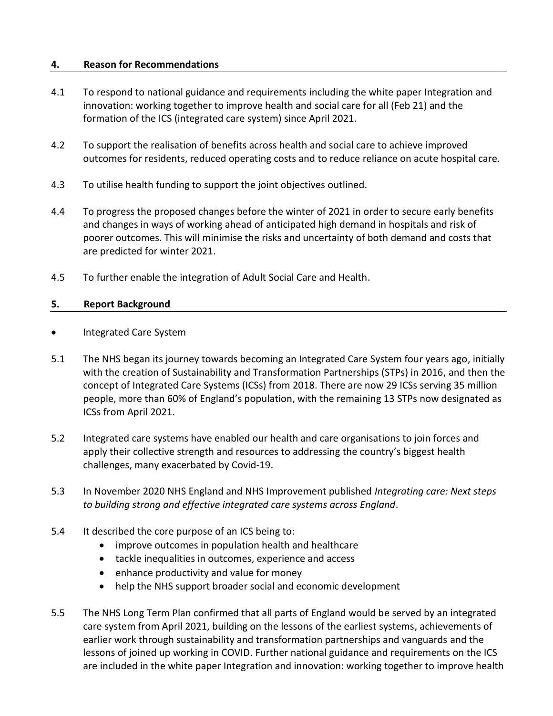#### **4. Reason for Recommendations**

- 4.1 To respond to national guidance and requirements including the white paper Integration and innovation: working together to improve health and social care for all (Feb 21) and the formation of the ICS (integrated care system) since April 2021.
- 4.2 To support the realisation of benefits across health and social care to achieve improved outcomes for residents, reduced operating costs and to reduce reliance on acute hospital care.
- 4.3 To utilise health funding to support the joint objectives outlined.
- 4.4 To progress the proposed changes before the winter of 2021 in order to secure early benefits and changes in ways of working ahead of anticipated high demand in hospitals and risk of poorer outcomes. This will minimise the risks and uncertainty of both demand and costs that are predicted for winter 2021.
- 4.5 To further enable the integration of Adult Social Care and Health.

#### **5. Report Background**

- Integrated Care System
- 5.1 The NHS began its journey towards becoming an Integrated Care System four years ago, initially with the creation of Sustainability and Transformation Partnerships (STPs) in 2016, and then the concept of Integrated Care Systems (ICSs) from 2018. There are now 29 ICSs serving 35 million people, more than 60% of England's population, with the remaining 13 STPs now designated as ICSs from April 2021.
- 5.2 Integrated care systems have enabled our health and care organisations to join forces and apply their collective strength and resources to addressing the country's biggest health challenges, many exacerbated by Covid-19.
- 5.3 In November 2020 NHS England and NHS Improvement published *Integrating care: Next steps to building strong and effective integrated care systems across England*.
- 5.4 It described the core purpose of an ICS being to:
	- improve outcomes in population health and healthcare
	- tackle inequalities in outcomes, experience and access
	- enhance productivity and value for money
	- help the NHS support broader social and economic development
- 5.5 The NHS Long Term Plan confirmed that all parts of England would be served by an integrated care system from April 2021, building on the lessons of the earliest systems, achievements of earlier work through sustainability and transformation partnerships and vanguards and the lessons of joined up working in COVID. Further national guidance and requirements on the ICS are included in the white paper Integration and innovation: working together to improve health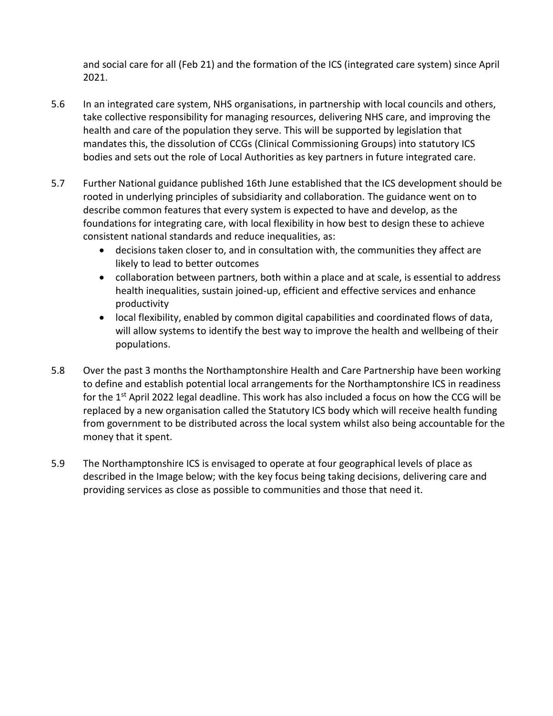and social care for all (Feb 21) and the formation of the ICS (integrated care system) since April 2021.

- 5.6 In an integrated care system, NHS organisations, in partnership with local councils and others, take collective responsibility for managing resources, delivering NHS care, and improving the health and care of the population they serve. This will be supported by legislation that mandates this, the dissolution of CCGs (Clinical Commissioning Groups) into statutory ICS bodies and sets out the role of Local Authorities as key partners in future integrated care.
- 5.7 Further National guidance published 16th June established that the ICS development should be rooted in underlying principles of subsidiarity and collaboration. The guidance went on to describe common features that every system is expected to have and develop, as the foundations for integrating care, with local flexibility in how best to design these to achieve consistent national standards and reduce inequalities, as:
	- decisions taken closer to, and in consultation with, the communities they affect are likely to lead to better outcomes
	- collaboration between partners, both within a place and at scale, is essential to address health inequalities, sustain joined-up, efficient and effective services and enhance productivity
	- local flexibility, enabled by common digital capabilities and coordinated flows of data, will allow systems to identify the best way to improve the health and wellbeing of their populations.
- 5.8 Over the past 3 months the Northamptonshire Health and Care Partnership have been working to define and establish potential local arrangements for the Northamptonshire ICS in readiness for the 1<sup>st</sup> April 2022 legal deadline. This work has also included a focus on how the CCG will be replaced by a new organisation called the Statutory ICS body which will receive health funding from government to be distributed across the local system whilst also being accountable for the money that it spent.
- 5.9 The Northamptonshire ICS is envisaged to operate at four geographical levels of place as described in the Image below; with the key focus being taking decisions, delivering care and providing services as close as possible to communities and those that need it.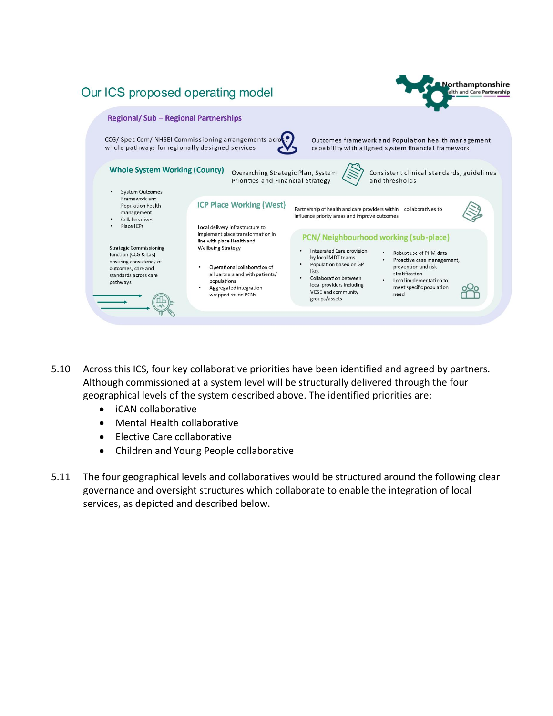

- 5.10 Across this ICS, four key collaborative priorities have been identified and agreed by partners. Although commissioned at a system level will be structurally delivered through the four geographical levels of the system described above. The identified priorities are;
	- iCAN collaborative
	- Mental Health collaborative
	- Elective Care collaborative
	- Children and Young People collaborative
- 5.11 The four geographical levels and collaboratives would be structured around the following clear governance and oversight structures which collaborate to enable the integration of local services, as depicted and described below.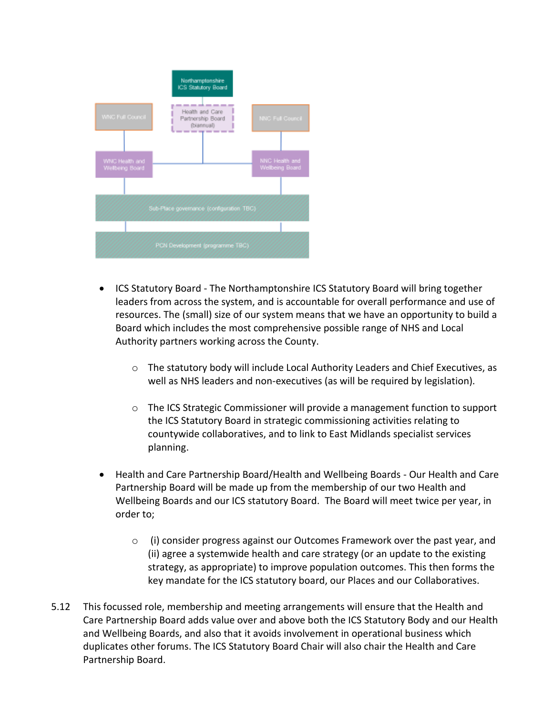

- ICS Statutory Board The Northamptonshire ICS Statutory Board will bring together leaders from across the system, and is accountable for overall performance and use of resources. The (small) size of our system means that we have an opportunity to build a Board which includes the most comprehensive possible range of NHS and Local Authority partners working across the County.
	- $\circ$  The statutory body will include Local Authority Leaders and Chief Executives, as well as NHS leaders and non-executives (as will be required by legislation).
	- o The ICS Strategic Commissioner will provide a management function to support the ICS Statutory Board in strategic commissioning activities relating to countywide collaboratives, and to link to East Midlands specialist services planning.
- Health and Care Partnership Board/Health and Wellbeing Boards Our Health and Care Partnership Board will be made up from the membership of our two Health and Wellbeing Boards and our ICS statutory Board. The Board will meet twice per year, in order to;
	- $\circ$  (i) consider progress against our Outcomes Framework over the past year, and (ii) agree a systemwide health and care strategy (or an update to the existing strategy, as appropriate) to improve population outcomes. This then forms the key mandate for the ICS statutory board, our Places and our Collaboratives.
- 5.12 This focussed role, membership and meeting arrangements will ensure that the Health and Care Partnership Board adds value over and above both the ICS Statutory Body and our Health and Wellbeing Boards, and also that it avoids involvement in operational business which duplicates other forums. The ICS Statutory Board Chair will also chair the Health and Care Partnership Board.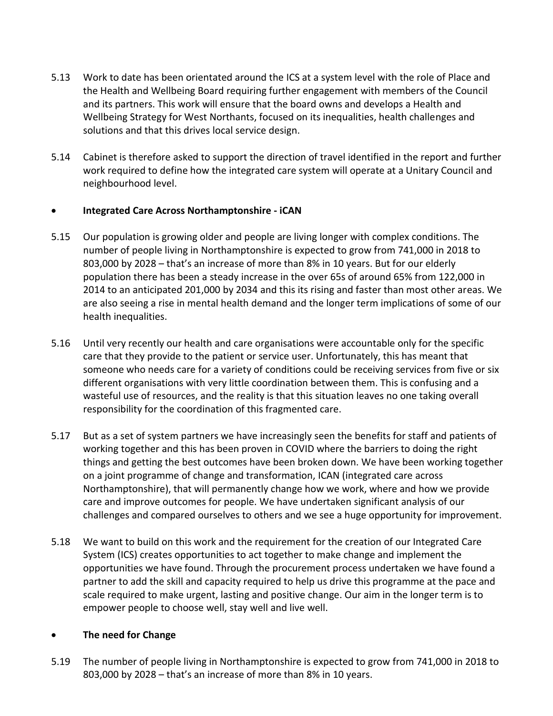- 5.13 Work to date has been orientated around the ICS at a system level with the role of Place and the Health and Wellbeing Board requiring further engagement with members of the Council and its partners. This work will ensure that the board owns and develops a Health and Wellbeing Strategy for West Northants, focused on its inequalities, health challenges and solutions and that this drives local service design.
- 5.14 Cabinet is therefore asked to support the direction of travel identified in the report and further work required to define how the integrated care system will operate at a Unitary Council and neighbourhood level.

#### **Integrated Care Across Northamptonshire - iCAN**

- 5.15 Our population is growing older and people are living longer with complex conditions. The number of people living in Northamptonshire is expected to grow from 741,000 in 2018 to 803,000 by 2028 – that's an increase of more than 8% in 10 years. But for our elderly population there has been a steady increase in the over 65s of around 65% from 122,000 in 2014 to an anticipated 201,000 by 2034 and this its rising and faster than most other areas. We are also seeing a rise in mental health demand and the longer term implications of some of our health inequalities.
- 5.16 Until very recently our health and care organisations were accountable only for the specific care that they provide to the patient or service user. Unfortunately, this has meant that someone who needs care for a variety of conditions could be receiving services from five or six different organisations with very little coordination between them. This is confusing and a wasteful use of resources, and the reality is that this situation leaves no one taking overall responsibility for the coordination of this fragmented care.
- 5.17 But as a set of system partners we have increasingly seen the benefits for staff and patients of working together and this has been proven in COVID where the barriers to doing the right things and getting the best outcomes have been broken down. We have been working together on a joint programme of change and transformation, ICAN (integrated care across Northamptonshire), that will permanently change how we work, where and how we provide care and improve outcomes for people. We have undertaken significant analysis of our challenges and compared ourselves to others and we see a huge opportunity for improvement.
- 5.18 We want to build on this work and the requirement for the creation of our Integrated Care System (ICS) creates opportunities to act together to make change and implement the opportunities we have found. Through the procurement process undertaken we have found a partner to add the skill and capacity required to help us drive this programme at the pace and scale required to make urgent, lasting and positive change. Our aim in the longer term is to empower people to choose well, stay well and live well.

# **The need for Change**

5.19 The number of people living in Northamptonshire is expected to grow from 741,000 in 2018 to 803,000 by 2028 – that's an increase of more than 8% in 10 years.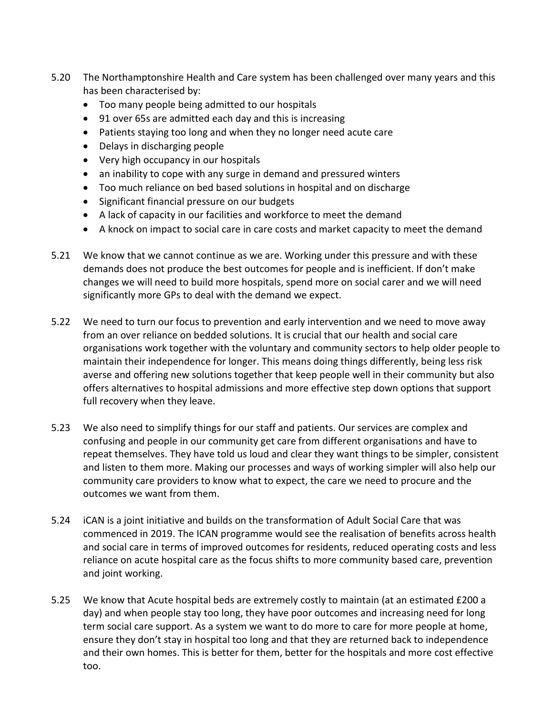- 5.20 The Northamptonshire Health and Care system has been challenged over many years and this has been characterised by:
	- Too many people being admitted to our hospitals
	- 91 over 65s are admitted each day and this is increasing
	- Patients staying too long and when they no longer need acute care
	- Delays in discharging people
	- Very high occupancy in our hospitals
	- an inability to cope with any surge in demand and pressured winters
	- Too much reliance on bed based solutions in hospital and on discharge
	- Significant financial pressure on our budgets
	- A lack of capacity in our facilities and workforce to meet the demand
	- A knock on impact to social care in care costs and market capacity to meet the demand
- 5.21 We know that we cannot continue as we are. Working under this pressure and with these demands does not produce the best outcomes for people and is inefficient. If don't make changes we will need to build more hospitals, spend more on social carer and we will need significantly more GPs to deal with the demand we expect.
- 5.22 We need to turn our focus to prevention and early intervention and we need to move away from an over reliance on bedded solutions. It is crucial that our health and social care organisations work together with the voluntary and community sectors to help older people to maintain their independence for longer. This means doing things differently, being less risk averse and offering new solutions together that keep people well in their community but also offers alternatives to hospital admissions and more effective step down options that support full recovery when they leave.
- 5.23 We also need to simplify things for our staff and patients. Our services are complex and confusing and people in our community get care from different organisations and have to repeat themselves. They have told us loud and clear they want things to be simpler, consistent and listen to them more. Making our processes and ways of working simpler will also help our community care providers to know what to expect, the care we need to procure and the outcomes we want from them.
- 5.24 iCAN is a joint initiative and builds on the transformation of Adult Social Care that was commenced in 2019. The ICAN programme would see the realisation of benefits across health and social care in terms of improved outcomes for residents, reduced operating costs and less reliance on acute hospital care as the focus shifts to more community based care, prevention and joint working.
- 5.25 We know that Acute hospital beds are extremely costly to maintain (at an estimated £200 a day) and when people stay too long, they have poor outcomes and increasing need for long term social care support. As a system we want to do more to care for more people at home, ensure they don't stay in hospital too long and that they are returned back to independence and their own homes. This is better for them, better for the hospitals and more cost effective too.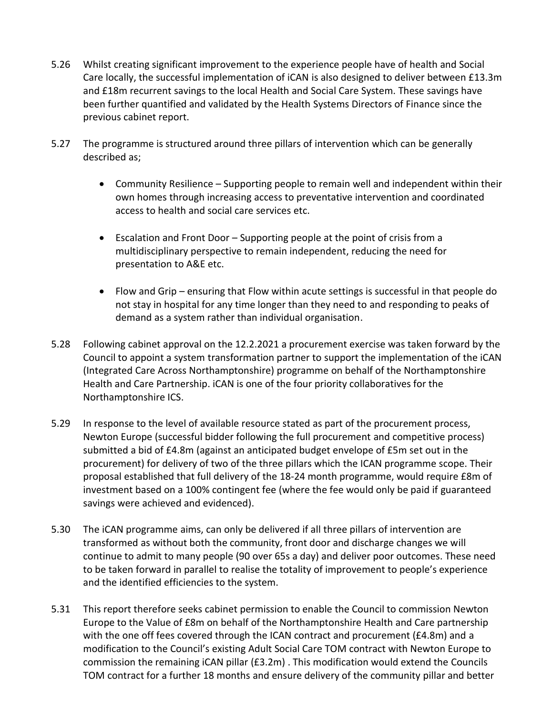- 5.26 Whilst creating significant improvement to the experience people have of health and Social Care locally, the successful implementation of iCAN is also designed to deliver between £13.3m and £18m recurrent savings to the local Health and Social Care System. These savings have been further quantified and validated by the Health Systems Directors of Finance since the previous cabinet report.
- 5.27 The programme is structured around three pillars of intervention which can be generally described as;
	- Community Resilience Supporting people to remain well and independent within their own homes through increasing access to preventative intervention and coordinated access to health and social care services etc.
	- Escalation and Front Door Supporting people at the point of crisis from a multidisciplinary perspective to remain independent, reducing the need for presentation to A&E etc.
	- Flow and Grip ensuring that Flow within acute settings is successful in that people do not stay in hospital for any time longer than they need to and responding to peaks of demand as a system rather than individual organisation.
- 5.28 Following cabinet approval on the 12.2.2021 a procurement exercise was taken forward by the Council to appoint a system transformation partner to support the implementation of the iCAN (Integrated Care Across Northamptonshire) programme on behalf of the Northamptonshire Health and Care Partnership. iCAN is one of the four priority collaboratives for the Northamptonshire ICS.
- 5.29 In response to the level of available resource stated as part of the procurement process, Newton Europe (successful bidder following the full procurement and competitive process) submitted a bid of £4.8m (against an anticipated budget envelope of £5m set out in the procurement) for delivery of two of the three pillars which the ICAN programme scope. Their proposal established that full delivery of the 18-24 month programme, would require £8m of investment based on a 100% contingent fee (where the fee would only be paid if guaranteed savings were achieved and evidenced).
- 5.30 The iCAN programme aims, can only be delivered if all three pillars of intervention are transformed as without both the community, front door and discharge changes we will continue to admit to many people (90 over 65s a day) and deliver poor outcomes. These need to be taken forward in parallel to realise the totality of improvement to people's experience and the identified efficiencies to the system.
- 5.31 This report therefore seeks cabinet permission to enable the Council to commission Newton Europe to the Value of £8m on behalf of the Northamptonshire Health and Care partnership with the one off fees covered through the ICAN contract and procurement (£4.8m) and a modification to the Council's existing Adult Social Care TOM contract with Newton Europe to commission the remaining iCAN pillar (£3.2m) . This modification would extend the Councils TOM contract for a further 18 months and ensure delivery of the community pillar and better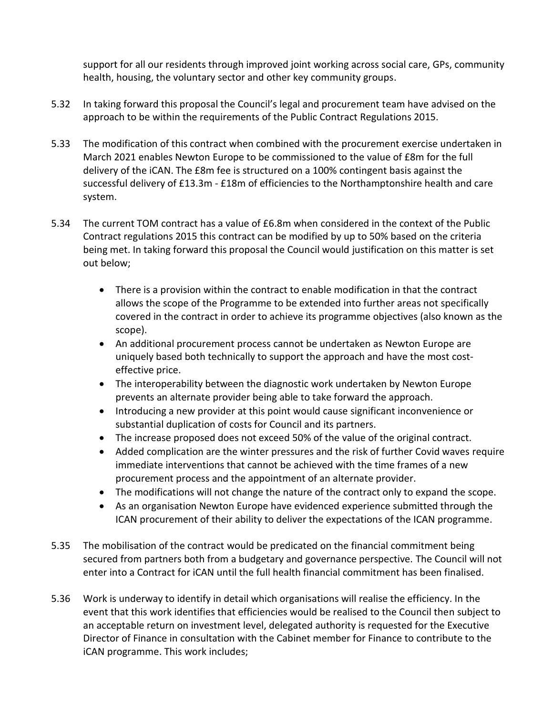support for all our residents through improved joint working across social care, GPs, community health, housing, the voluntary sector and other key community groups.

- 5.32 In taking forward this proposal the Council's legal and procurement team have advised on the approach to be within the requirements of the Public Contract Regulations 2015.
- 5.33 The modification of this contract when combined with the procurement exercise undertaken in March 2021 enables Newton Europe to be commissioned to the value of £8m for the full delivery of the iCAN. The £8m fee is structured on a 100% contingent basis against the successful delivery of £13.3m - £18m of efficiencies to the Northamptonshire health and care system.
- 5.34 The current TOM contract has a value of £6.8m when considered in the context of the Public Contract regulations 2015 this contract can be modified by up to 50% based on the criteria being met. In taking forward this proposal the Council would justification on this matter is set out below;
	- There is a provision within the contract to enable modification in that the contract allows the scope of the Programme to be extended into further areas not specifically covered in the contract in order to achieve its programme objectives (also known as the scope).
	- An additional procurement process cannot be undertaken as Newton Europe are uniquely based both technically to support the approach and have the most costeffective price.
	- The interoperability between the diagnostic work undertaken by Newton Europe prevents an alternate provider being able to take forward the approach.
	- Introducing a new provider at this point would cause significant inconvenience or substantial duplication of costs for Council and its partners.
	- The increase proposed does not exceed 50% of the value of the original contract.
	- Added complication are the winter pressures and the risk of further Covid waves require immediate interventions that cannot be achieved with the time frames of a new procurement process and the appointment of an alternate provider.
	- The modifications will not change the nature of the contract only to expand the scope.
	- As an organisation Newton Europe have evidenced experience submitted through the ICAN procurement of their ability to deliver the expectations of the ICAN programme.
- 5.35 The mobilisation of the contract would be predicated on the financial commitment being secured from partners both from a budgetary and governance perspective. The Council will not enter into a Contract for iCAN until the full health financial commitment has been finalised.
- 5.36 Work is underway to identify in detail which organisations will realise the efficiency. In the event that this work identifies that efficiencies would be realised to the Council then subject to an acceptable return on investment level, delegated authority is requested for the Executive Director of Finance in consultation with the Cabinet member for Finance to contribute to the iCAN programme. This work includes;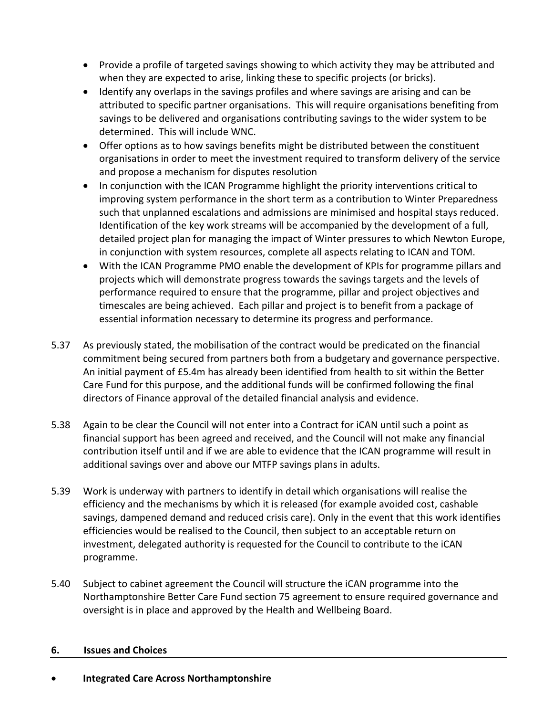- Provide a profile of targeted savings showing to which activity they may be attributed and when they are expected to arise, linking these to specific projects (or bricks).
- Identify any overlaps in the savings profiles and where savings are arising and can be attributed to specific partner organisations. This will require organisations benefiting from savings to be delivered and organisations contributing savings to the wider system to be determined. This will include WNC.
- Offer options as to how savings benefits might be distributed between the constituent organisations in order to meet the investment required to transform delivery of the service and propose a mechanism for disputes resolution
- In conjunction with the ICAN Programme highlight the priority interventions critical to improving system performance in the short term as a contribution to Winter Preparedness such that unplanned escalations and admissions are minimised and hospital stays reduced. Identification of the key work streams will be accompanied by the development of a full, detailed project plan for managing the impact of Winter pressures to which Newton Europe, in conjunction with system resources, complete all aspects relating to ICAN and TOM.
- With the ICAN Programme PMO enable the development of KPIs for programme pillars and projects which will demonstrate progress towards the savings targets and the levels of performance required to ensure that the programme, pillar and project objectives and timescales are being achieved. Each pillar and project is to benefit from a package of essential information necessary to determine its progress and performance.
- 5.37 As previously stated, the mobilisation of the contract would be predicated on the financial commitment being secured from partners both from a budgetary and governance perspective. An initial payment of £5.4m has already been identified from health to sit within the Better Care Fund for this purpose, and the additional funds will be confirmed following the final directors of Finance approval of the detailed financial analysis and evidence.
- 5.38 Again to be clear the Council will not enter into a Contract for iCAN until such a point as financial support has been agreed and received, and the Council will not make any financial contribution itself until and if we are able to evidence that the ICAN programme will result in additional savings over and above our MTFP savings plans in adults.
- 5.39 Work is underway with partners to identify in detail which organisations will realise the efficiency and the mechanisms by which it is released (for example avoided cost, cashable savings, dampened demand and reduced crisis care). Only in the event that this work identifies efficiencies would be realised to the Council, then subject to an acceptable return on investment, delegated authority is requested for the Council to contribute to the iCAN programme.
- 5.40 Subject to cabinet agreement the Council will structure the iCAN programme into the Northamptonshire Better Care Fund section 75 agreement to ensure required governance and oversight is in place and approved by the Health and Wellbeing Board.

#### **6. Issues and Choices**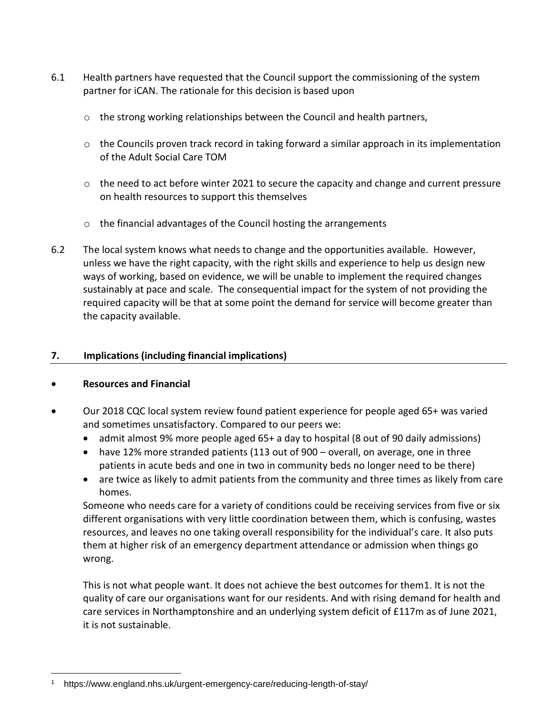- 6.1 Health partners have requested that the Council support the commissioning of the system partner for iCAN. The rationale for this decision is based upon
	- $\circ$  the strong working relationships between the Council and health partners,
	- o the Councils proven track record in taking forward a similar approach in its implementation of the Adult Social Care TOM
	- o the need to act before winter 2021 to secure the capacity and change and current pressure on health resources to support this themselves
	- o the financial advantages of the Council hosting the arrangements
- 6.2 The local system knows what needs to change and the opportunities available. However, unless we have the right capacity, with the right skills and experience to help us design new ways of working, based on evidence, we will be unable to implement the required changes sustainably at pace and scale. The consequential impact for the system of not providing the required capacity will be that at some point the demand for service will become greater than the capacity available.

# **7. Implications (including financial implications)**

# **Resources and Financial**

- [Our 2018 CQC local system review](https://www.cqc.org.uk/sites/default/files/20180706_northamptonshire_local_system_review.pdf) found patient experience for people aged 65+ was varied and sometimes unsatisfactory. Compared to our peers we:
	- admit almost 9% more people aged 65+ a day to hospital (8 out of 90 daily admissions)
	- have 12% more stranded patients (113 out of 900 overall, on average, one in three patients in acute beds and one in two in community beds no longer need to be there)
	- are twice as likely to admit patients from the community and three times as likely from care homes.

Someone who needs care for a variety of conditions could be receiving services from five or six different organisations with very little coordination between them, which is confusing, wastes resources, and leaves no one taking overall responsibility for the individual's care. It also puts them at higher risk of an emergency department attendance or admission when things go wrong.

This is not what people want. It does not achieve the best outcomes for them1. It is not the quality of care our organisations want for our residents. And with rising demand for health and care services in Northamptonshire and an underlying system deficit of £117m as of June 2021, it is not sustainable.

 $\overline{a}$ <sup>1</sup> https://www.england.nhs.uk/urgent-emergency-care/reducing-length-of-stay/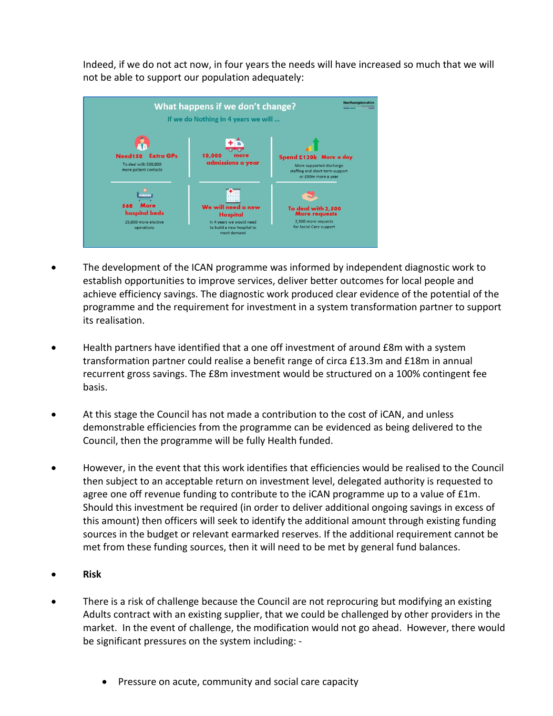Indeed, if we do not act now, in four years the needs will have increased so much that we will not be able to support our population adequately:



- The development of the ICAN programme was informed by independent diagnostic work to establish opportunities to improve services, deliver better outcomes for local people and achieve efficiency savings. The diagnostic work produced clear evidence of the potential of the programme and the requirement for investment in a system transformation partner to support its realisation.
- Health partners have identified that a one off investment of around £8m with a system transformation partner could realise a benefit range of circa £13.3m and £18m in annual recurrent gross savings. The £8m investment would be structured on a 100% contingent fee basis.
- At this stage the Council has not made a contribution to the cost of iCAN, and unless demonstrable efficiencies from the programme can be evidenced as being delivered to the Council, then the programme will be fully Health funded.
- However, in the event that this work identifies that efficiencies would be realised to the Council then subject to an acceptable return on investment level, delegated authority is requested to agree one off revenue funding to contribute to the iCAN programme up to a value of £1m. Should this investment be required (in order to deliver additional ongoing savings in excess of this amount) then officers will seek to identify the additional amount through existing funding sources in the budget or relevant earmarked reserves. If the additional requirement cannot be met from these funding sources, then it will need to be met by general fund balances.
- **Risk**
- There is a risk of challenge because the Council are not reprocuring but modifying an existing Adults contract with an existing supplier, that we could be challenged by other providers in the market. In the event of challenge, the modification would not go ahead. However, there would be significant pressures on the system including: -
	- Pressure on acute, community and social care capacity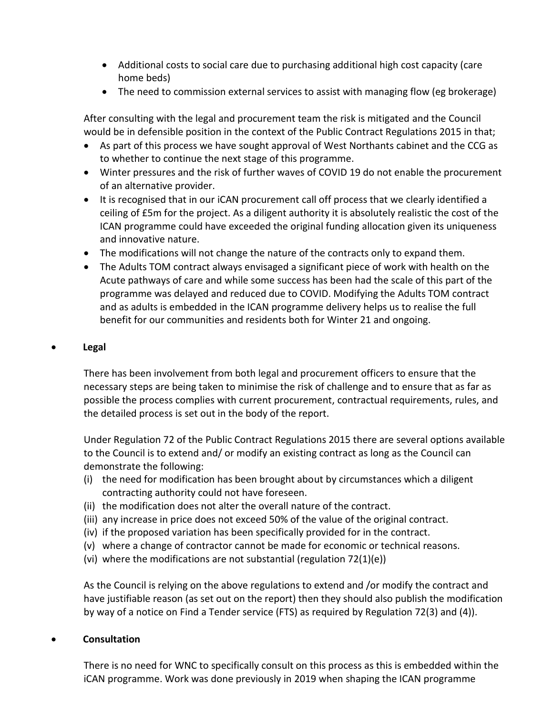- Additional costs to social care due to purchasing additional high cost capacity (care home beds)
- The need to commission external services to assist with managing flow (eg brokerage)

After consulting with the legal and procurement team the risk is mitigated and the Council would be in defensible position in the context of the Public Contract Regulations 2015 in that;

- As part of this process we have sought approval of West Northants cabinet and the CCG as to whether to continue the next stage of this programme.
- Winter pressures and the risk of further waves of COVID 19 do not enable the procurement of an alternative provider.
- It is recognised that in our iCAN procurement call off process that we clearly identified a ceiling of £5m for the project. As a diligent authority it is absolutely realistic the cost of the ICAN programme could have exceeded the original funding allocation given its uniqueness and innovative nature.
- The modifications will not change the nature of the contracts only to expand them.
- The Adults TOM contract always envisaged a significant piece of work with health on the Acute pathways of care and while some success has been had the scale of this part of the programme was delayed and reduced due to COVID. Modifying the Adults TOM contract and as adults is embedded in the ICAN programme delivery helps us to realise the full benefit for our communities and residents both for Winter 21 and ongoing.

#### **Legal**

There has been involvement from both legal and procurement officers to ensure that the necessary steps are being taken to minimise the risk of challenge and to ensure that as far as possible the process complies with current procurement, contractual requirements, rules, and the detailed process is set out in the body of the report.

Under Regulation 72 of the Public Contract Regulations 2015 there are several options available to the Council is to extend and/ or modify an existing contract as long as the Council can demonstrate the following:

- (i) the need for modification has been brought about by circumstances which a diligent contracting authority could not have foreseen.
- (ii) the modification does not alter the overall nature of the contract.
- (iii) any increase in price does not exceed 50% of the value of the original contract.
- (iv) if the proposed variation has been specifically provided for in the contract.
- (v) where a change of contractor cannot be made for economic or technical reasons.
- (vi) where the modifications are not substantial (regulation 72(1)(e))

As the Council is relying on the above regulations to extend and /or modify the contract and have justifiable reason (as set out on the report) then they should also publish the modification by way of a notice on Find a Tender service (FTS) as required by Regulation 72(3) and (4)).

#### **Consultation**

There is no need for WNC to specifically consult on this process as this is embedded within the iCAN programme. Work was done previously in 2019 when shaping the ICAN programme